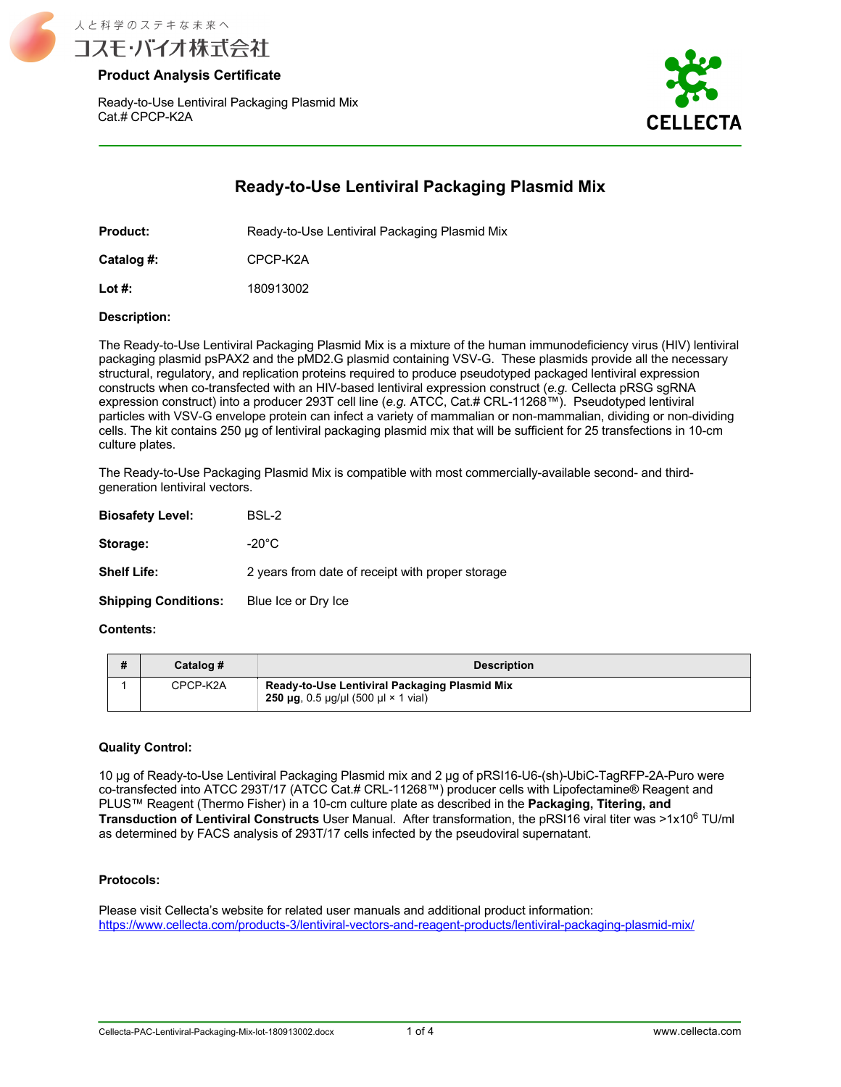

Ready-to-Use Lentiviral Packaging Plasmid Mix Cat.# CPCP-K2A



# **Ready-to-Use Lentiviral Packaging Plasmid Mix**

**Product:** Ready-to-Use Lentiviral Packaging Plasmid Mix

**Catalog #:** CPCP-K2A

**Lot #:** 180913002

### **Description:**

The Ready-to-Use Lentiviral Packaging Plasmid Mix is a mixture of the human immunodeficiency virus (HIV) lentiviral packaging plasmid psPAX2 and the pMD2.G plasmid containing VSV-G. These plasmids provide all the necessary structural, regulatory, and replication proteins required to produce pseudotyped packaged lentiviral expression constructs when co-transfected with an HIV-based lentiviral expression construct (*e.g.* Cellecta pRSG sgRNA expression construct) into a producer 293T cell line (*e.g.* ATCC, Cat.# CRL-11268™). Pseudotyped lentiviral particles with VSV-G envelope protein can infect a variety of mammalian or non-mammalian, dividing or non-dividing cells. The kit contains 250 μg of lentiviral packaging plasmid mix that will be sufficient for 25 transfections in 10-cm culture plates.

The Ready-to-Use Packaging Plasmid Mix is compatible with most commercially-available second- and thirdgeneration lentiviral vectors.

| <b>Biosafety Level:</b>     | BSL-2                                            |
|-----------------------------|--------------------------------------------------|
| Storage:                    | $-20^{\circ}$ C                                  |
| <b>Shelf Life:</b>          | 2 years from date of receipt with proper storage |
| <b>Shipping Conditions:</b> | Blue Ice or Dry Ice                              |

### **Contents:**

| # | Catalog # | <b>Description</b>                                                                                        |
|---|-----------|-----------------------------------------------------------------------------------------------------------|
|   | CPCP-K2A  | Ready-to-Use Lentiviral Packaging Plasmid Mix<br>250 $\mu$ g, 0.5 $\mu$ g/ $\mu$ l (500 $\mu$ l × 1 vial) |

### **Quality Control:**

10 μg of Ready-to-Use Lentiviral Packaging Plasmid mix and 2 μg of pRSI16-U6-(sh)-UbiC-TagRFP-2A-Puro were co-transfected into ATCC 293T/17 (ATCC Cat.# CRL-11268™) producer cells with Lipofectamine® Reagent and PLUS™ Reagent (Thermo Fisher) in a 10-cm culture plate as described in the **Packaging, Titering, and Transduction of Lentiviral Constructs** User Manual. After transformation, the pRSI16 viral titer was >1x10<sup>6</sup> TU/ml as determined by FACS analysis of 293T/17 cells infected by the pseudoviral supernatant.

### **Protocols:**

Please visit Cellecta's website for related user manuals and additional product information: https://www.cellecta.com/products-3/lentiviral-vectors-and-reagent-products/lentiviral-packaging-plasmid-mix/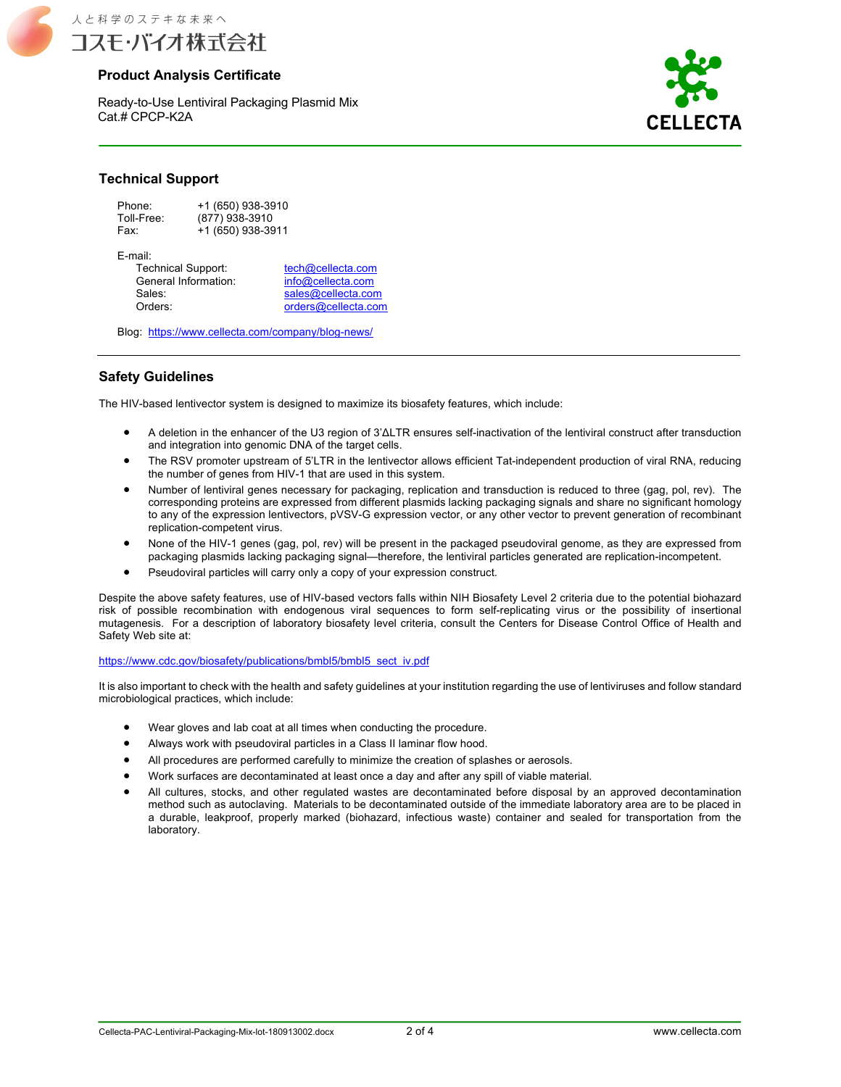

### **Product Analysis Certificate**

Ready-to-Use Lentiviral Packaging Plasmid Mix Cat.# CPCP-K2A



### **Technical Support**

| Phone:     | +1 (650) 938-3910 |
|------------|-------------------|
| Toll-Free: | (877) 938-3910    |
| Fax:       | +1 (650) 938-3911 |

E-mail:

Technical Support: the tech@cellecta.com<br>
General Information: info@cellecta.com General Information:<br>Sales: Sales:<br>
Orders:<br>
Orders:<br>
Orders@cellecta.com<br>
Orders Orders: orders@cellecta.com

Blog: https://www.cellecta.com/company/blog-news/

### **Safety Guidelines**

The HIV-based lentivector system is designed to maximize its biosafety features, which include:

- A deletion in the enhancer of the U3 region of 3'ΔLTR ensures self-inactivation of the lentiviral construct after transduction and integration into genomic DNA of the target cells.
- The RSV promoter upstream of 5'LTR in the lentivector allows efficient Tat-independent production of viral RNA, reducing the number of genes from HIV-1 that are used in this system.
- Number of lentiviral genes necessary for packaging, replication and transduction is reduced to three (gag, pol, rev). The corresponding proteins are expressed from different plasmids lacking packaging signals and share no significant homology to any of the expression lentivectors, pVSV-G expression vector, or any other vector to prevent generation of recombinant replication-competent virus.
- None of the HIV-1 genes (gag, pol, rev) will be present in the packaged pseudoviral genome, as they are expressed from packaging plasmids lacking packaging signal—therefore, the lentiviral particles generated are replication-incompetent.
- Pseudoviral particles will carry only a copy of your expression construct.

Despite the above safety features, use of HIV-based vectors falls within NIH Biosafety Level 2 criteria due to the potential biohazard risk of possible recombination with endogenous viral sequences to form self-replicating virus or the possibility of insertional mutagenesis. For a description of laboratory biosafety level criteria, consult the Centers for Disease Control Office of Health and Safety Web site at:

#### https://www.cdc.gov/biosafety/publications/bmbl5/bmbl5\_sect\_iv.pdf

It is also important to check with the health and safety guidelines at your institution regarding the use of lentiviruses and follow standard microbiological practices, which include:

- Wear gloves and lab coat at all times when conducting the procedure.
- Always work with pseudoviral particles in a Class II laminar flow hood.
- All procedures are performed carefully to minimize the creation of splashes or aerosols.
- Work surfaces are decontaminated at least once a day and after any spill of viable material.
- All cultures, stocks, and other regulated wastes are decontaminated before disposal by an approved decontamination method such as autoclaving. Materials to be decontaminated outside of the immediate laboratory area are to be placed in a durable, leakproof, properly marked (biohazard, infectious waste) container and sealed for transportation from the laboratory.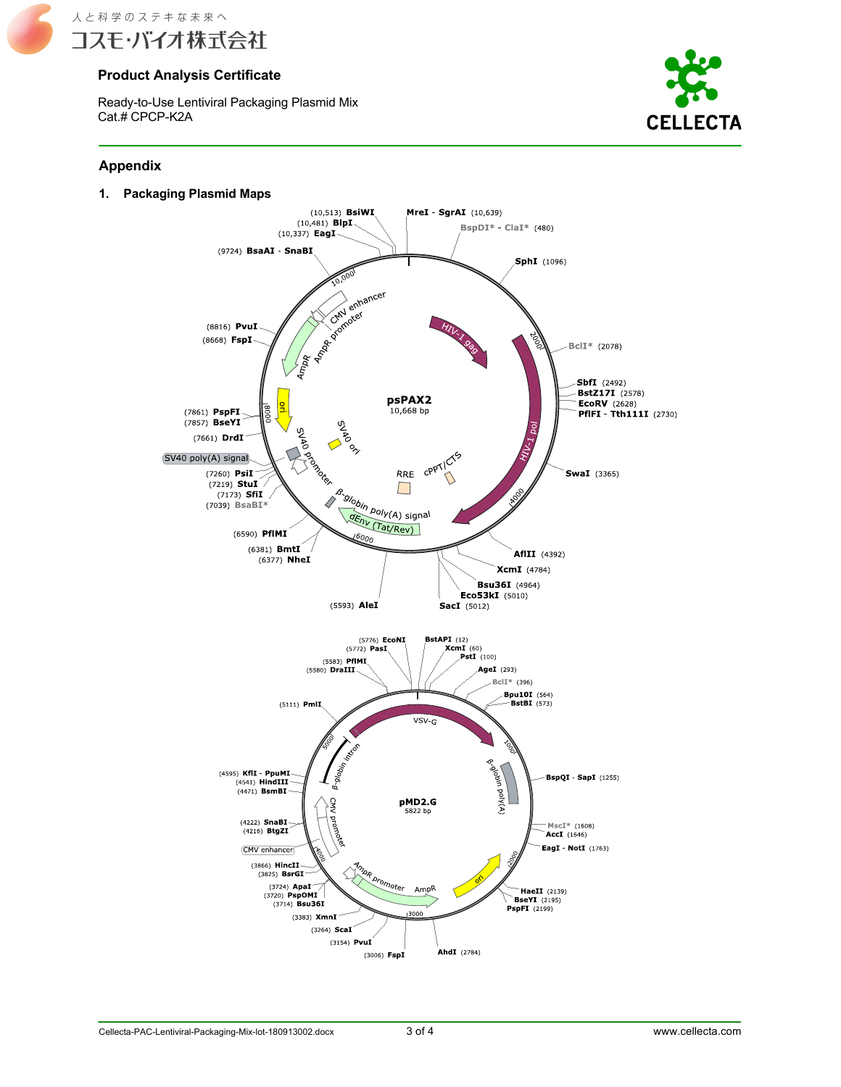

## **Product Analysis Certificate**

Ready-to-Use Lentiviral Packaging Plasmid Mix Cat.# CPCP-K2A



### **Appendix**

**1. Packaging Plasmid Maps**